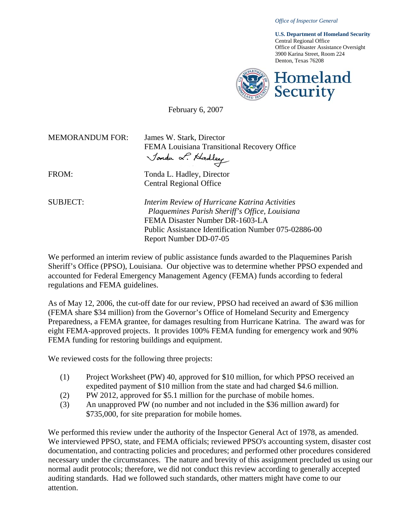*Office of Inspector General* 

**U.S. Department of Homeland Security**  Central Regional Office Office of Disaster Assistance Oversight 3900 Karina Street, Room 224 Denton, Texas 76208



February 6, 2007

MEMORANDUM FOR: James W. Stark, Director FEMA Louisiana Transitional Recovery Office<br>*Jonda & Hadley* 

FROM: Tonda L. Hadley, Director Central Regional Office

SUBJECT: *Interim Review of Hurricane Katrina Activities Plaquemines Parish Sheriff's Office, Louisiana* FEMA Disaster Number DR-1603-LA Public Assistance Identification Number 075-02886-00 Report Number DD-07-05

We performed an interim review of public assistance funds awarded to the Plaquemines Parish Sheriff's Office (PPSO), Louisiana. Our objective was to determine whether PPSO expended and accounted for Federal Emergency Management Agency (FEMA) funds according to federal regulations and FEMA guidelines.

As of May 12, 2006, the cut-off date for our review, PPSO had received an award of \$36 million (FEMA share \$34 million) from the Governor's Office of Homeland Security and Emergency Preparedness, a FEMA grantee, for damages resulting from Hurricane Katrina. The award was for eight FEMA-approved projects. It provides 100% FEMA funding for emergency work and 90% FEMA funding for restoring buildings and equipment.

We reviewed costs for the following three projects:

- (1) Project Worksheet (PW) 40, approved for \$10 million, for which PPSO received an expedited payment of \$10 million from the state and had charged \$4.6 million.
- (2) PW 2012, approved for \$5.1 million for the purchase of mobile homes.
- (3) An unapproved PW (no number and not included in the \$36 million award) for \$735,000, for site preparation for mobile homes.

We performed this review under the authority of the Inspector General Act of 1978, as amended. We interviewed PPSO, state, and FEMA officials; reviewed PPSO's accounting system, disaster cost documentation, and contracting policies and procedures; and performed other procedures considered necessary under the circumstances. The nature and brevity of this assignment precluded us using our normal audit protocols; therefore, we did not conduct this review according to generally accepted auditing standards. Had we followed such standards, other matters might have come to our attention.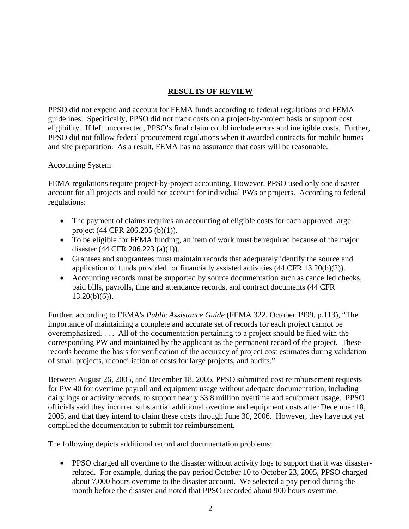# **RESULTS OF REVIEW**

PPSO did not expend and account for FEMA funds according to federal regulations and FEMA guidelines.Specifically, PPSO did not track costs on a project-by-project basis or support cost eligibility. If left uncorrected, PPSO's final claim could include errors and ineligible costs. Further, PPSO did not follow federal procurement regulations when it awarded contracts for mobile homes and site preparation. As a result, FEMA has no assurance that costs will be reasonable.

### Accounting System

FEMA regulations require project-by-project accounting. However, PPSO used only one disaster account for all projects and could not account for individual PWs or projects. According to federal regulations:

- The payment of claims requires an accounting of eligible costs for each approved large project (44 CFR 206.205 (b)(1)).
- To be eligible for FEMA funding, an item of work must be required because of the major disaster (44 CFR 206.223 (a)(1)).
- Grantees and subgrantees must maintain records that adequately identify the source and application of funds provided for financially assisted activities (44 CFR 13.20(b)(2)).
- Accounting records must be supported by source documentation such as cancelled checks, paid bills, payrolls, time and attendance records, and contract documents (44 CFR  $13.20(b)(6)$ .

Further, according to FEMA's *Public Assistance Guide* (FEMA 322, October 1999, p.113), "The importance of maintaining a complete and accurate set of records for each project cannot be overemphasized. . . . All of the documentation pertaining to a project should be filed with the corresponding PW and maintained by the applicant as the permanent record of the project. These records become the basis for verification of the accuracy of project cost estimates during validation of small projects, reconciliation of costs for large projects, and audits."

Between August 26, 2005, and December 18, 2005, PPSO submitted cost reimbursement requests for PW 40 for overtime payroll and equipment usage without adequate documentation, including daily logs or activity records, to support nearly \$3.8 million overtime and equipment usage. PPSO officials said they incurred substantial additional overtime and equipment costs after December 18, 2005, and that they intend to claim these costs through June 30, 2006. However, they have not yet compiled the documentation to submit for reimbursement.

The following depicts additional record and documentation problems:

• PPSO charged all overtime to the disaster without activity logs to support that it was disasterrelated. For example, during the pay period October 10 to October 23, 2005, PPSO charged about 7,000 hours overtime to the disaster account. We selected a pay period during the month before the disaster and noted that PPSO recorded about 900 hours overtime.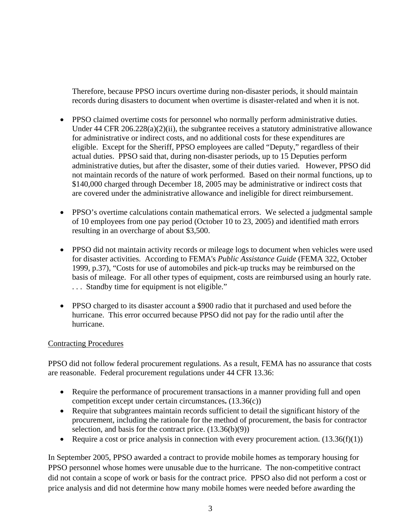Therefore, because PPSO incurs overtime during non-disaster periods, it should maintain records during disasters to document when overtime is disaster-related and when it is not.

- PPSO claimed overtime costs for personnel who normally perform administrative duties. Under 44 CFR 206.228(a)(2)(ii), the subgrantee receives a statutory administrative allowance for administrative or indirect costs, and no additional costs for these expenditures are eligible. Except for the Sheriff, PPSO employees are called "Deputy," regardless of their actual duties. PPSO said that, during non-disaster periods, up to 15 Deputies perform administrative duties, but after the disaster, some of their duties varied. However, PPSO did not maintain records of the nature of work performed. Based on their normal functions, up to \$140,000 charged through December 18, 2005 may be administrative or indirect costs that are covered under the administrative allowance and ineligible for direct reimbursement.
- PPSO's overtime calculations contain mathematical errors. We selected a judgmental sample of 10 employees from one pay period (October 10 to 23, 2005) and identified math errors resulting in an overcharge of about \$3,500.
- PPSO did not maintain activity records or mileage logs to document when vehicles were used for disaster activities. According to FEMA's *Public Assistance Guide* (FEMA 322, October 1999, p.37), "Costs for use of automobiles and pick-up trucks may be reimbursed on the basis of mileage. For all other types of equipment, costs are reimbursed using an hourly rate. . . . Standby time for equipment is not eligible."
- PPSO charged to its disaster account a \$900 radio that it purchased and used before the hurricane. This error occurred because PPSO did not pay for the radio until after the hurricane.

### Contracting Procedures

PPSO did not follow federal procurement regulations. As a result, FEMA has no assurance that costs are reasonable. Federal procurement regulations under 44 CFR 13.36:

- Require the performance of procurement transactions in a manner providing full and open competition except under certain circumstances**.** (13.36(c))
- Require that subgrantees maintain records sufficient to detail the significant history of the procurement, including the rationale for the method of procurement, the basis for contractor selection, and basis for the contract price. (13.36(b)(9))
- Require a cost or price analysis in connection with every procurement action.  $(13.36(f)(1))$

In September 2005, PPSO awarded a contract to provide mobile homes as temporary housing for PPSO personnel whose homes were unusable due to the hurricane. The non-competitive contract did not contain a scope of work or basis for the contract price. PPSO also did not perform a cost or price analysis and did not determine how many mobile homes were needed before awarding the